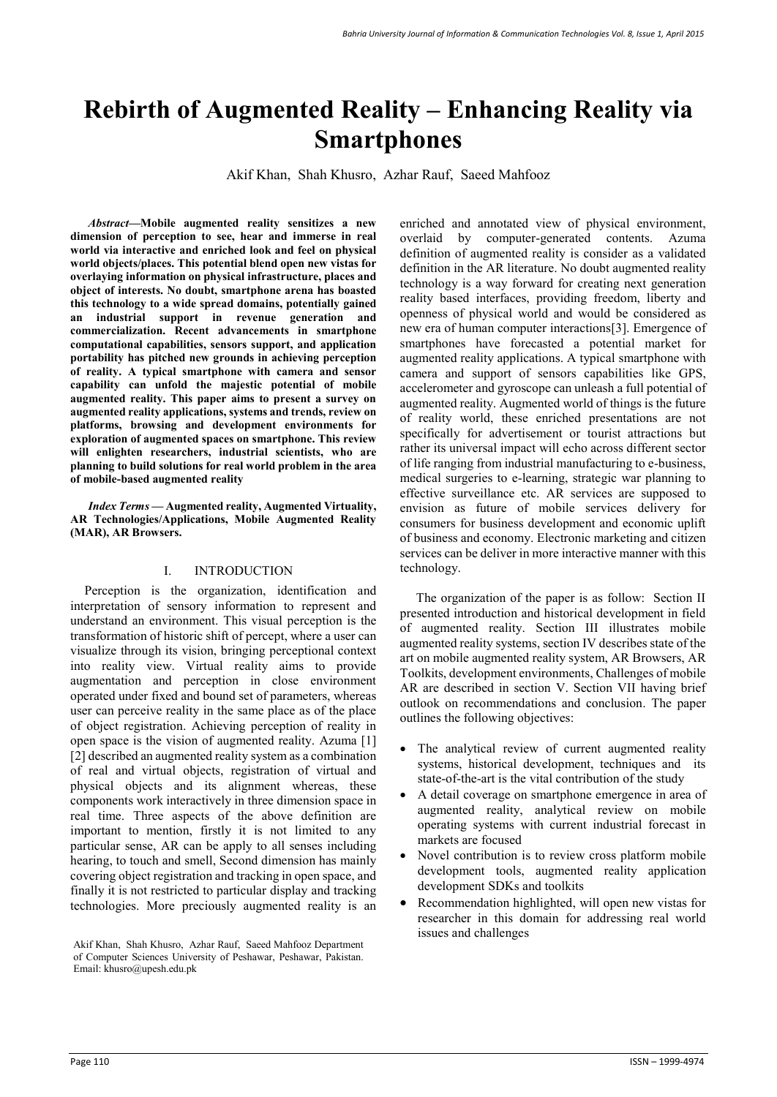# **Rebirth of Augmented Reality – Enhancing Reality via Smartphones**

Akif Khan, Shah Khusro, Azhar Rauf, Saeed Mahfooz

*Abstract—***Mobile augmented reality sensitizes a new dimension of perception to see, hear and immerse in real world via interactive and enriched look and feel on physical world objects/places. This potential blend open new vistas for overlaying information on physical infrastructure, places and object of interests. No doubt, smartphone arena has boasted this technology to a wide spread domains, potentially gained an industrial support in revenue generation and commercialization. Recent advancements in smartphone computational capabilities, sensors support, and application portability has pitched new grounds in achieving perception of reality. A typical smartphone with camera and sensor capability can unfold the majestic potential of mobile augmented reality. This paper aims to present a survey on augmented reality applications, systems and trends, review on platforms, browsing and development environments for exploration of augmented spaces on smartphone. This review will enlighten researchers, industrial scientists, who are planning to build solutions for real world problem in the area of mobile-based augmented reality**

*Index Terms* **— Augmented reality, Augmented Virtuality, AR Technologies/Applications, Mobile Augmented Reality (MAR), AR Browsers.** 

# I. INTRODUCTION

Perception is the organization, identification and interpretation of sensory information to represent and understand an environment. This visual perception is the transformation of historic shift of percept, where a user can visualize through its vision, bringing perceptional context into reality view. Virtual reality aims to provide augmentation and perception in close environment operated under fixed and bound set of parameters, whereas user can perceive reality in the same place as of the place of object registration. Achieving perception of reality in open space is the vision of augmented reality. Azuma [1] [2] described an augmented reality system as a combination of real and virtual objects, registration of virtual and physical objects and its alignment whereas, these components work interactively in three dimension space in real time. Three aspects of the above definition are important to mention, firstly it is not limited to any particular sense, AR can be apply to all senses including hearing, to touch and smell, Second dimension has mainly covering object registration and tracking in open space, and finally it is not restricted to particular display and tracking technologies. More preciously augmented reality is an

enriched and annotated view of physical environment, overlaid by computer-generated contents. Azuma definition of augmented reality is consider as a validated definition in the AR literature. No doubt augmented reality technology is a way forward for creating next generation reality based interfaces, providing freedom, liberty and openness of physical world and would be considered as new era of human computer interactions[3]. Emergence of smartphones have forecasted a potential market for augmented reality applications. A typical smartphone with camera and support of sensors capabilities like GPS, accelerometer and gyroscope can unleash a full potential of augmented reality. Augmented world of things is the future of reality world, these enriched presentations are not specifically for advertisement or tourist attractions but rather its universal impact will echo across different sector of life ranging from industrial manufacturing to e-business, medical surgeries to e-learning, strategic war planning to effective surveillance etc. AR services are supposed to envision as future of mobile services delivery for consumers for business development and economic uplift of business and economy. Electronic marketing and citizen services can be deliver in more interactive manner with this technology.

 The organization of the paper is as follow: Section II presented introduction and historical development in field of augmented reality. Section III illustrates mobile augmented reality systems, section IV describes state of the art on mobile augmented reality system, AR Browsers, AR Toolkits, development environments, Challenges of mobile AR are described in section V. Section VII having brief outlook on recommendations and conclusion. The paper outlines the following objectives:

- The analytical review of current augmented reality systems, historical development, techniques and its state-of-the-art is the vital contribution of the study
- A detail coverage on smartphone emergence in area of augmented reality, analytical review on mobile operating systems with current industrial forecast in markets are focused
- Novel contribution is to review cross platform mobile development tools, augmented reality application development SDKs and toolkits
- Recommendation highlighted, will open new vistas for researcher in this domain for addressing real world issues and challenges

Akif Khan, Shah Khusro, Azhar Rauf, Saeed Mahfooz Department of Computer Sciences University of Peshawar, Peshawar, Pakistan. Email: khusro@upesh.edu.pk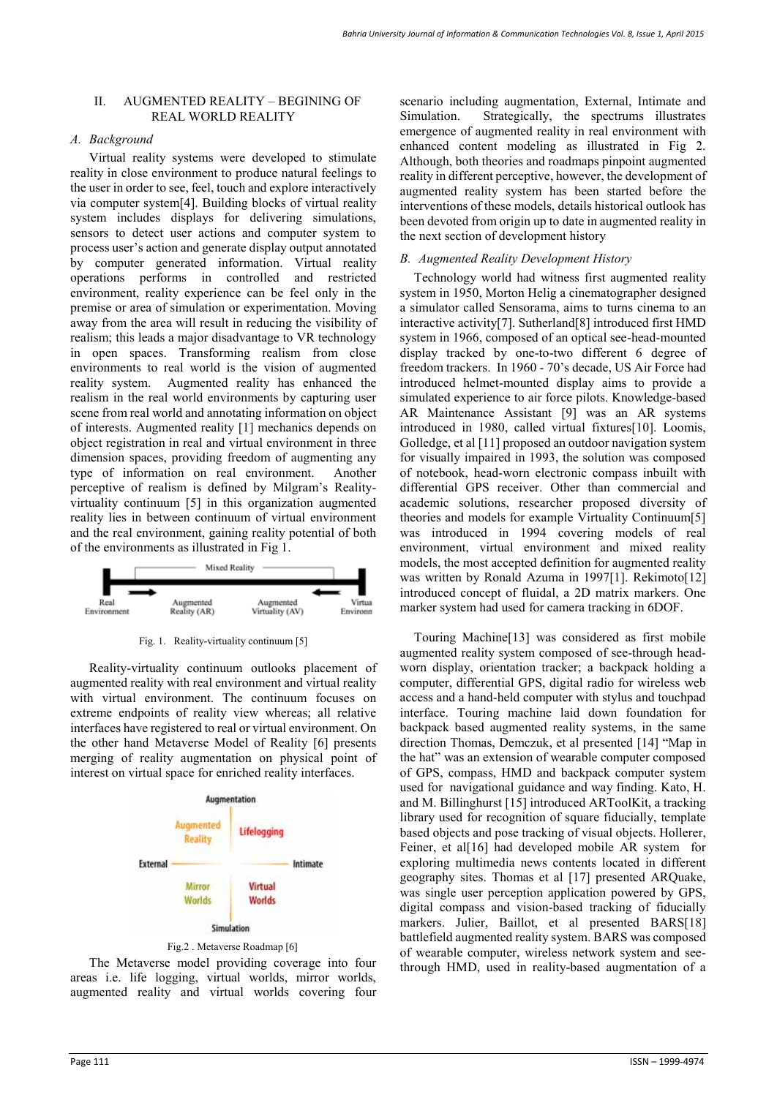## II. AUGMENTED REALITY – BEGINING OF REAL WORLD REALITY

## *A. Background*

Virtual reality systems were developed to stimulate reality in close environment to produce natural feelings to the user in order to see, feel, touch and explore interactively via computer system[4]. Building blocks of virtual reality system includes displays for delivering simulations, sensors to detect user actions and computer system to process user's action and generate display output annotated by computer generated information. Virtual reality operations performs in controlled and restricted environment, reality experience can be feel only in the premise or area of simulation or experimentation. Moving away from the area will result in reducing the visibility of realism; this leads a major disadvantage to VR technology in open spaces. Transforming realism from close environments to real world is the vision of augmented reality system. Augmented reality has enhanced the realism in the real world environments by capturing user scene from real world and annotating information on object of interests. Augmented reality [1] mechanics depends on object registration in real and virtual environment in three dimension spaces, providing freedom of augmenting any type of information on real environment. Another perceptive of realism is defined by Milgram's Realityvirtuality continuum [5] in this organization augmented reality lies in between continuum of virtual environment and the real environment, gaining reality potential of both of the environments as illustrated in Fig 1.



Fig. 1. Reality-virtuality continuum [5]

Reality-virtuality continuum outlooks placement of augmented reality with real environment and virtual reality with virtual environment. The continuum focuses on extreme endpoints of reality view whereas; all relative interfaces have registered to real or virtual environment. On the other hand Metaverse Model of Reality [6] presents merging of reality augmentation on physical point of interest on virtual space for enriched reality interfaces.





The Metaverse model providing coverage into four areas i.e. life logging, virtual worlds, mirror worlds, augmented reality and virtual worlds covering four

scenario including augmentation, External, Intimate and Simulation. Strategically, the spectrums illustrates emergence of augmented reality in real environment with enhanced content modeling as illustrated in Fig 2. Although, both theories and roadmaps pinpoint augmented reality in different perceptive, however, the development of augmented reality system has been started before the interventions of these models, details historical outlook has been devoted from origin up to date in augmented reality in the next section of development history

# *B. Augmented Reality Development History*

Technology world had witness first augmented reality system in 1950, Morton Helig a cinematographer designed a simulator called Sensorama, aims to turns cinema to an interactive activity[7]. Sutherland[8] introduced first HMD system in 1966, composed of an optical see-head-mounted display tracked by one-to-two different 6 degree of freedom trackers. In 1960 - 70's decade, US Air Force had introduced helmet-mounted display aims to provide a simulated experience to air force pilots. Knowledge-based AR Maintenance Assistant [9] was an AR systems introduced in 1980, called virtual fixtures[10]. Loomis, Golledge, et al [11] proposed an outdoor navigation system for visually impaired in 1993, the solution was composed of notebook, head-worn electronic compass inbuilt with differential GPS receiver. Other than commercial and academic solutions, researcher proposed diversity of theories and models for example Virtuality Continuum[5] was introduced in 1994 covering models of real environment, virtual environment and mixed reality models, the most accepted definition for augmented reality was written by Ronald Azuma in 1997[1]. Rekimoto[12] introduced concept of fluidal, a 2D matrix markers. One marker system had used for camera tracking in 6DOF.

Touring Machine[13] was considered as first mobile augmented reality system composed of see-through headworn display, orientation tracker; a backpack holding a computer, differential GPS, digital radio for wireless web access and a hand-held computer with stylus and touchpad interface. Touring machine laid down foundation for backpack based augmented reality systems, in the same direction Thomas, Demczuk, et al presented [14] "Map in the hat" was an extension of wearable computer composed of GPS, compass, HMD and backpack computer system used for navigational guidance and way finding. Kato, H. and M. Billinghurst [15] introduced ARToolKit, a tracking library used for recognition of square fiducially, template based objects and pose tracking of visual objects. Hollerer, Feiner, et al<sup>[16]</sup> had developed mobile AR system for exploring multimedia news contents located in different geography sites. Thomas et al [17] presented ARQuake, was single user perception application powered by GPS, digital compass and vision-based tracking of fiducially markers. Julier, Baillot, et al presented BARS[18] battlefield augmented reality system. BARS was composed of wearable computer, wireless network system and seethrough HMD, used in reality-based augmentation of a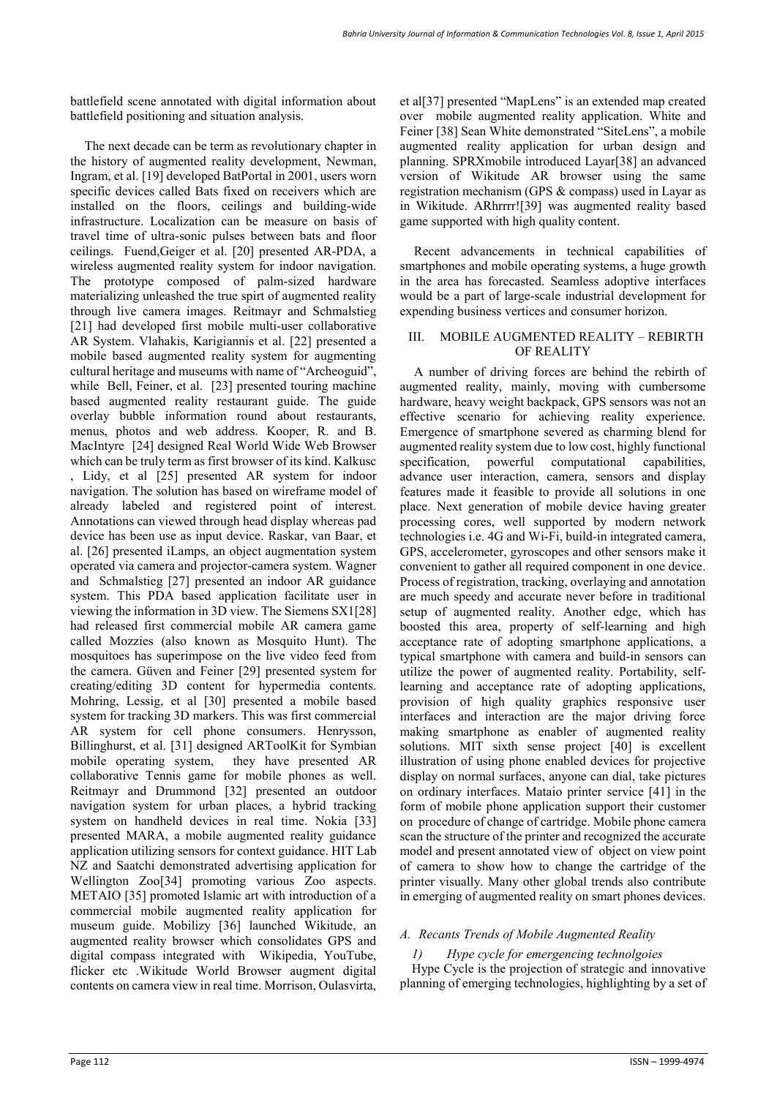battlefield scene annotated with digital information about battlefield positioning and situation analysis.

The next decade can be term as revolutionary chapter in the history of augmented reality development, Newman, Ingram, et al. [19] developed BatPortal in 2001, users worn specific devices called Bats fixed on receivers which are installed on the floors, ceilings and building-wide infrastructure. Localization can be measure on basis of travel time of ultra-sonic pulses between bats and floor ceilings. Fuend,Geiger et al. [20] presented AR-PDA, a wireless augmented reality system for indoor navigation. The prototype composed of palm-sized hardware materializing unleashed the true spirt of augmented reality through live camera images. Reitmayr and Schmalstieg [21] had developed first mobile multi-user collaborative AR System. Vlahakis, Karigiannis et al. [22] presented a mobile based augmented reality system for augmenting cultural heritage and museums with name of "Archeoguid", while Bell, Feiner, et al. [23] presented touring machine based augmented reality restaurant guide. The guide overlay bubble information round about restaurants, menus, photos and web address. Kooper, R. and B. MacIntyre [24] designed Real World Wide Web Browser which can be truly term as first browser of its kind. Kalkusc , Lidy, et al [25] presented AR system for indoor navigation. The solution has based on wireframe model of already labeled and registered point of interest. Annotations can viewed through head display whereas pad device has been use as input device. Raskar, van Baar, et al. [26] presented iLamps, an object augmentation system operated via camera and projector-camera system. Wagner and Schmalstieg [27] presented an indoor AR guidance system. This PDA based application facilitate user in viewing the information in 3D view. The Siemens SX1[28] had released first commercial mobile AR camera game called Mozzies (also known as Mosquito Hunt). The mosquitoes has superimpose on the live video feed from the camera. Güven and Feiner [29] presented system for creating/editing 3D content for hypermedia contents. Mohring, Lessig, et al [30] presented a mobile based system for tracking 3D markers. This was first commercial AR system for cell phone consumers. Henrysson, Billinghurst, et al. [31] designed ARToolKit for Symbian mobile operating system, they have presented AR collaborative Tennis game for mobile phones as well. Reitmayr and Drummond [32] presented an outdoor navigation system for urban places, a hybrid tracking system on handheld devices in real time. Nokia [33] presented MARA, a mobile augmented reality guidance application utilizing sensors for context guidance. HIT Lab NZ and Saatchi demonstrated advertising application for Wellington Zoo[34] promoting various Zoo aspects. METAIO [35] promoted Islamic art with introduction of a commercial mobile augmented reality application for museum guide. Mobilizy [36] launched Wikitude, an augmented reality browser which consolidates GPS and digital compass integrated with Wikipedia, YouTube, flicker etc .Wikitude World Browser augment digital contents on camera view in real time. Morrison, Oulasvirta,

et al[37] presented "MapLens" is an extended map created over mobile augmented reality application. White and Feiner [38] Sean White demonstrated "SiteLens", a mobile augmented reality application for urban design and planning. SPRXmobile introduced Layar[38] an advanced version of Wikitude AR browser using the same registration mechanism (GPS & compass) used in Layar as in Wikitude. ARhrrrr![39] was augmented reality based game supported with high quality content.

Recent advancements in technical capabilities of smartphones and mobile operating systems, a huge growth in the area has forecasted. Seamless adoptive interfaces would be a part of large-scale industrial development for expending business vertices and consumer horizon.

## III. MOBILE AUGMENTED REALITY – REBIRTH OF REALITY

A number of driving forces are behind the rebirth of augmented reality, mainly, moving with cumbersome hardware, heavy weight backpack, GPS sensors was not an effective scenario for achieving reality experience. Emergence of smartphone severed as charming blend for augmented reality system due to low cost, highly functional specification, powerful computational capabilities, advance user interaction, camera, sensors and display features made it feasible to provide all solutions in one place. Next generation of mobile device having greater processing cores, well supported by modern network technologies i.e. 4G and Wi-Fi, build-in integrated camera, GPS, accelerometer, gyroscopes and other sensors make it convenient to gather all required component in one device. Process of registration, tracking, overlaying and annotation are much speedy and accurate never before in traditional setup of augmented reality. Another edge, which has boosted this area, property of self-learning and high acceptance rate of adopting smartphone applications, a typical smartphone with camera and build-in sensors can utilize the power of augmented reality. Portability, selflearning and acceptance rate of adopting applications, provision of high quality graphics responsive user interfaces and interaction are the major driving force making smartphone as enabler of augmented reality solutions. MIT sixth sense project [40] is excellent illustration of using phone enabled devices for projective display on normal surfaces, anyone can dial, take pictures on ordinary interfaces. Mataio printer service [41] in the form of mobile phone application support their customer on procedure of change of cartridge. Mobile phone camera scan the structure of the printer and recognized the accurate model and present annotated view of object on view point of camera to show how to change the cartridge of the printer visually. Many other global trends also contribute in emerging of augmented reality on smart phones devices.

# *A. Recants Trends of Mobile Augmented Reality*

# *1) Hype cycle for emergencing technolgoies*

Hype Cycle is the projection of strategic and innovative planning of emerging technologies, highlighting by a set of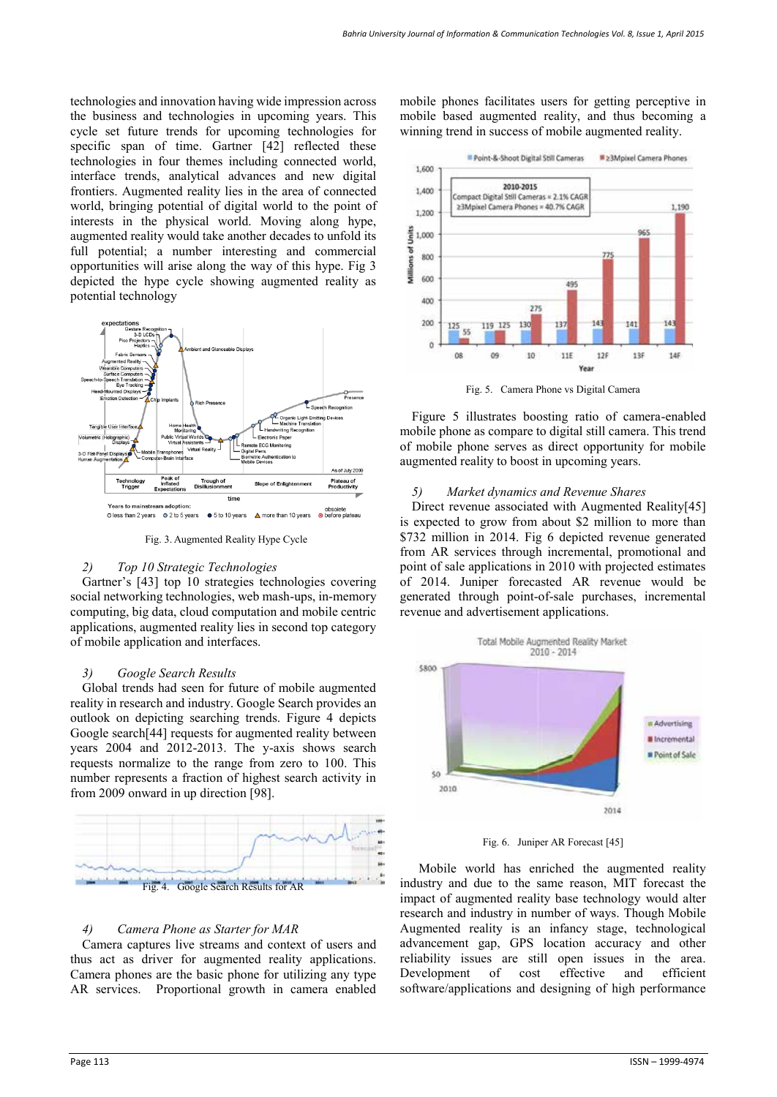technologies and innovation having wide impression across the business and technologies in upcoming years. This cycle set future trends for upcoming technologies for specific span of time. Gartner [42] reflected these technologies in four themes including connected world, interface trends, analytical advances and new digital frontiers. Augmented reality lies in the area of connected world, bringing potential of digital world to the point of interests in the physical world. Moving along hype, augmented reality would take another decades to unfold its full potential; a number interesting and commercial opportunities will arise along the way of this hype. Fig 3 depicted the hype cycle showing augmented reality as potential technology



Fig. 3. Augmented Reality Hype Cycle

#### *2) Top 10 Strategic Technologies*

Gartner's [43] top 10 strategies technologies covering social networking technologies, web mash-ups, in-memory computing, big data, cloud computation and mobile centric applications, augmented reality lies in second top category of mobile application and interfaces.

#### *3) Google Search Results*

Global trends had seen for future of mobile augmented reality in research and industry. Google Search provides an outlook on depicting searching trends. Figure 4 depicts Google search[44] requests for augmented reality between years 2004 and 2012-2013. The y-axis shows search requests normalize to the range from zero to 100. This number represents a fraction of highest search activity in from 2009 onward in up direction [98].



#### *4) Camera Phone as Starter for MAR*

Camera captures live streams and context of users and thus act as driver for augmented reality applications. Camera phones are the basic phone for utilizing any type AR services. Proportional growth in camera enabled

mobile phones facilitates users for getting perceptive in mobile based augmented reality, and thus becoming a winning trend in success of mobile augmented reality.



Fig. 5. Camera Phone vs Digital Camera

Figure 5 illustrates boosting ratio of camera-enabled mobile phone as compare to digital still camera. This trend of mobile phone serves as direct opportunity for mobile augmented reality to boost in upcoming years.

#### *5) Market dynamics and Revenue Shares*

Direct revenue associated with Augmented Reality[45] is expected to grow from about \$2 million to more than \$732 million in 2014. Fig 6 depicted revenue generated from AR services through incremental, promotional and point of sale applications in 2010 with projected estimates of 2014. Juniper forecasted AR revenue would be generated through point-of-sale purchases, incremental revenue and advertisement applications.



Fig. 6. Juniper AR Forecast [45]

Mobile world has enriched the augmented reality industry and due to the same reason, MIT forecast the impact of augmented reality base technology would alter research and industry in number of ways. Though Mobile Augmented reality is an infancy stage, technological advancement gap, GPS location accuracy and other reliability issues are still open issues in the area. Development of cost effective and efficient software/applications and designing of high performance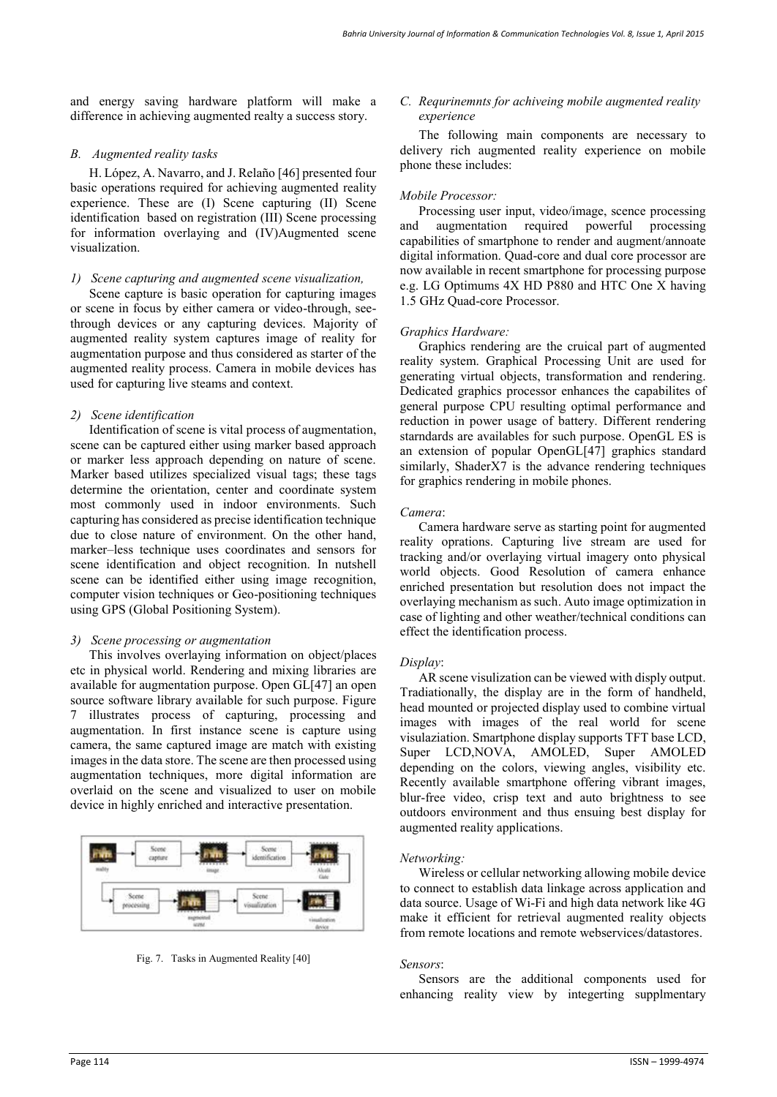and energy saving hardware platform will make a difference in achieving augmented realty a success story.

#### *B. Augmented reality tasks*

H. López, A. Navarro, and J. Relaño [46] presented four basic operations required for achieving augmented reality experience. These are (I) Scene capturing (II) Scene identification based on registration (III) Scene processing for information overlaying and (IV)Augmented scene visualization.

#### *1) Scene capturing and augmented scene visualization,*

Scene capture is basic operation for capturing images or scene in focus by either camera or video-through, seethrough devices or any capturing devices. Majority of augmented reality system captures image of reality for augmentation purpose and thus considered as starter of the augmented reality process. Camera in mobile devices has used for capturing live steams and context.

## *2) Scene identification*

Identification of scene is vital process of augmentation, scene can be captured either using marker based approach or marker less approach depending on nature of scene. Marker based utilizes specialized visual tags; these tags determine the orientation, center and coordinate system most commonly used in indoor environments. Such capturing has considered as precise identification technique due to close nature of environment. On the other hand, marker–less technique uses coordinates and sensors for scene identification and object recognition. In nutshell scene can be identified either using image recognition, computer vision techniques or Geo-positioning techniques using GPS (Global Positioning System).

## *3) Scene processing or augmentation*

This involves overlaying information on object/places etc in physical world. Rendering and mixing libraries are available for augmentation purpose. Open GL[47] an open source software library available for such purpose. Figure 7 illustrates process of capturing, processing and augmentation. In first instance scene is capture using camera, the same captured image are match with existing images in the data store. The scene are then processed using augmentation techniques, more digital information are overlaid on the scene and visualized to user on mobile device in highly enriched and interactive presentation.



Fig. 7. Tasks in Augmented Reality [40]

#### *C. Requrinemnts for achiveing mobile augmented reality experience*

The following main components are necessary to delivery rich augmented reality experience on mobile phone these includes:

# *Mobile Processor:*

Processing user input, video/image, scence processing augmentation required powerful processing capabilities of smartphone to render and augment/annoate digital information. Quad-core and dual core processor are now available in recent smartphone for processing purpose e.g. LG Optimums 4X HD P880 and HTC One X having 1.5 GHz Quad-core Processor.

## *Graphics Hardware:*

Graphics rendering are the cruical part of augmented reality system. Graphical Processing Unit are used for generating virtual objects, transformation and rendering. Dedicated graphics processor enhances the capabilites of general purpose CPU resulting optimal performance and reduction in power usage of battery. Different rendering starndards are availables for such purpose. OpenGL ES is an extension of popular OpenGL[47] graphics standard similarly, ShaderX7 is the advance rendering techniques for graphics rendering in mobile phones.

#### *Camera*:

Camera hardware serve as starting point for augmented reality oprations. Capturing live stream are used for tracking and/or overlaying virtual imagery onto physical world objects. Good Resolution of camera enhance enriched presentation but resolution does not impact the overlaying mechanism as such. Auto image optimization in case of lighting and other weather/technical conditions can effect the identification process.

## *Display*:

AR scene visulization can be viewed with disply output. Tradiationally, the display are in the form of handheld, head mounted or projected display used to combine virtual images with images of the real world for scene visulaziation. Smartphone display supports TFT base LCD, Super LCD,NOVA, AMOLED, Super AMOLED depending on the colors, viewing angles, visibility etc. Recently available smartphone offering vibrant images, blur-free video, crisp text and auto brightness to see outdoors environment and thus ensuing best display for augmented reality applications.

#### *Networking:*

Wireless or cellular networking allowing mobile device to connect to establish data linkage across application and data source. Usage of Wi-Fi and high data network like 4G make it efficient for retrieval augmented reality objects from remote locations and remote webservices/datastores.

#### *Sensors*:

Sensors are the additional components used for enhancing reality view by integerting supplmentary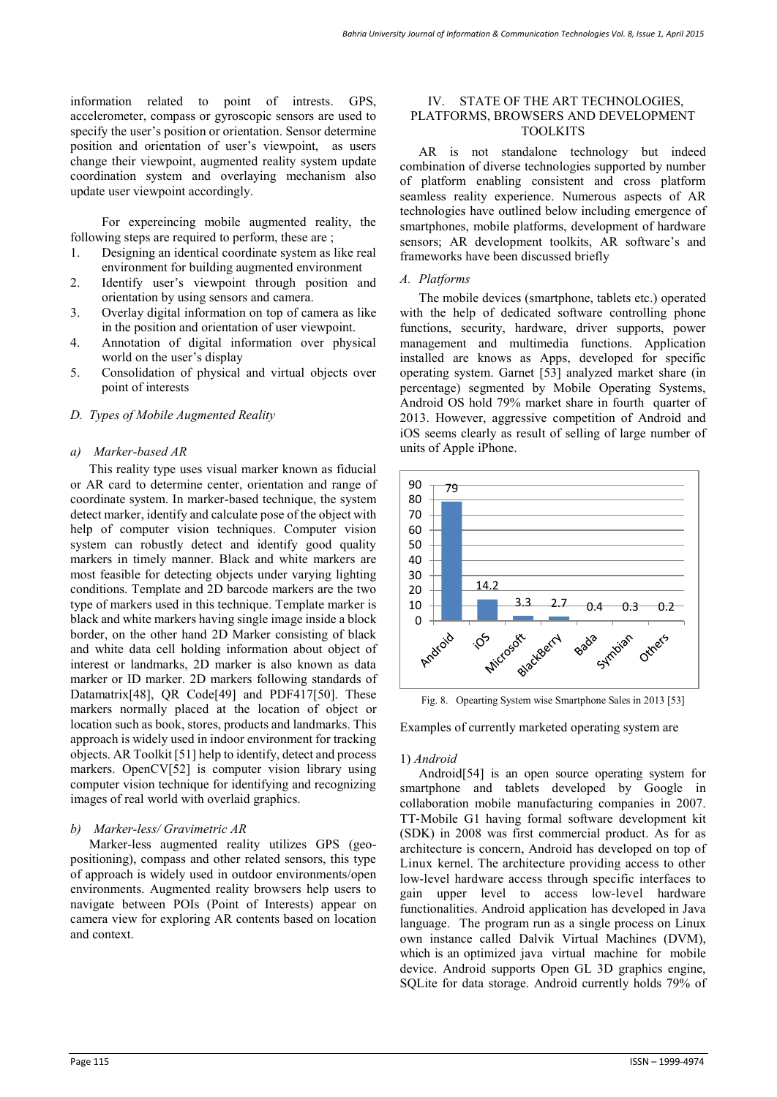information related to point of intrests. GPS, accelerometer, compass or gyroscopic sensors are used to specify the user's position or orientation. Sensor determine position and orientation of user's viewpoint, as users change their viewpoint, augmented reality system update coordination system and overlaying mechanism also update user viewpoint accordingly.

For expereincing mobile augmented reality, the following steps are required to perform, these are ;

- 1. Designing an identical coordinate system as like real environment for building augmented environment
- 2. Identify user's viewpoint through position and orientation by using sensors and camera.
- 3. Overlay digital information on top of camera as like in the position and orientation of user viewpoint.
- 4. Annotation of digital information over physical world on the user's display
- 5. Consolidation of physical and virtual objects over point of interests

#### *D. Types of Mobile Augmented Reality*

#### *a) Marker-based AR*

This reality type uses visual marker known as fiducial or AR card to determine center, orientation and range of coordinate system. In marker-based technique, the system detect marker, identify and calculate pose of the object with help of computer vision techniques. Computer vision system can robustly detect and identify good quality markers in timely manner. Black and white markers are most feasible for detecting objects under varying lighting conditions. Template and 2D barcode markers are the two type of markers used in this technique. Template marker is black and white markers having single image inside a block border, on the other hand 2D Marker consisting of black and white data cell holding information about object of interest or landmarks, 2D marker is also known as data marker or ID marker. 2D markers following standards of Datamatrix<sup>[48]</sup>, OR Code<sup>[49]</sup> and PDF417<sup>[50]</sup>. These markers normally placed at the location of object or location such as book, stores, products and landmarks. This approach is widely used in indoor environment for tracking objects. AR Toolkit [51] help to identify, detect and process markers. OpenCV[52] is computer vision library using computer vision technique for identifying and recognizing images of real world with overlaid graphics.

#### *b) Marker-less/ Gravimetric AR*

Marker-less augmented reality utilizes GPS (geopositioning), compass and other related sensors, this type of approach is widely used in outdoor environments/open environments. Augmented reality browsers help users to navigate between POIs (Point of Interests) appear on camera view for exploring AR contents based on location and context.

#### IV. STATE OF THE ART TECHNOLOGIES, PLATFORMS, BROWSERS AND DEVELOPMENT TOOLKITS

AR is not standalone technology but indeed combination of diverse technologies supported by number of platform enabling consistent and cross platform seamless reality experience. Numerous aspects of AR technologies have outlined below including emergence of smartphones, mobile platforms, development of hardware sensors; AR development toolkits, AR software's and frameworks have been discussed briefly

#### *A. Platforms*

The mobile devices (smartphone, tablets etc.) operated with the help of dedicated software controlling phone functions, security, hardware, driver supports, power management and multimedia functions. Application installed are knows as Apps, developed for specific operating system. Garnet [53] analyzed market share (in percentage) segmented by Mobile Operating Systems, Android OS hold 79% market share in fourth quarter of 2013. However, aggressive competition of Android and iOS seems clearly as result of selling of large number of units of Apple iPhone.



Fig. 8. Opearting System wise Smartphone Sales in 2013 [53]

Examples of currently marketed operating system are

#### 1) *Android*

Android[54] is an open source operating system for smartphone and tablets developed by Google in collaboration mobile manufacturing companies in 2007. TT‐Mobile G1 having formal software development kit (SDK) in 2008 was first commercial product. As for as architecture is concern, Android has developed on top of Linux kernel. The architecture providing access to other low-level hardware access through specific interfaces to gain upper level to access low-level hardware functionalities. Android application has developed in Java language. The program run as a single process on Linux own instance called Dalvik Virtual Machines (DVM), which is an optimized java virtual machine for mobile device. Android supports Open GL 3D graphics engine, SQLite for data storage. Android currently holds 79% of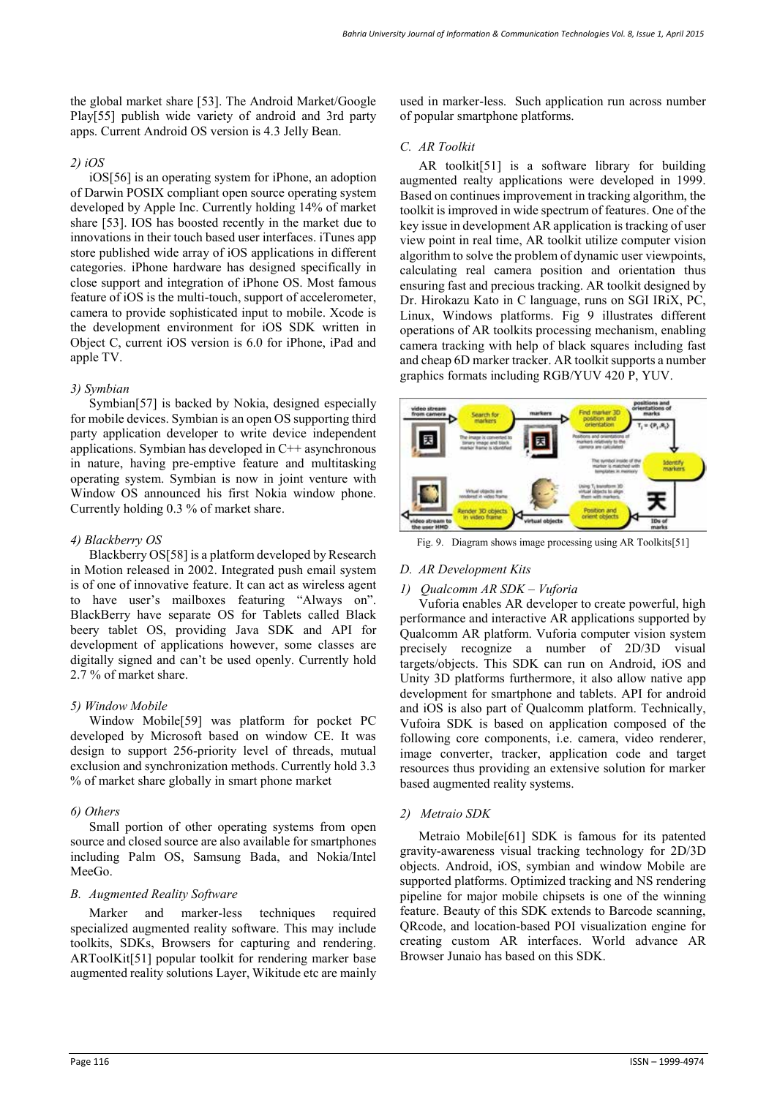the global market share [53]. The Android Market/Google Play[55] publish wide variety of android and 3rd party apps. Current Android OS version is 4.3 Jelly Bean.

## *2) iOS*

iOS[56] is an operating system for iPhone, an adoption of Darwin POSIX compliant open source operating system developed by Apple Inc. Currently holding 14% of market share [53]. IOS has boosted recently in the market due to innovations in their touch based user interfaces. iTunes app store published wide array of iOS applications in different categories. iPhone hardware has designed specifically in close support and integration of iPhone OS. Most famous feature of iOS is the multi-touch, support of accelerometer, camera to provide sophisticated input to mobile. Xcode is the development environment for iOS SDK written in Object C, current iOS version is 6.0 for iPhone, iPad and apple TV.

## *3) Symbian*

Symbian[57] is backed by Nokia, designed especially for mobile devices. Symbian is an open OS supporting third party application developer to write device independent applications. Symbian has developed in C++ asynchronous in nature, having pre-emptive feature and multitasking operating system. Symbian is now in joint venture with Window OS announced his first Nokia window phone. Currently holding 0.3 % of market share.

# *4) Blackberry OS*

Blackberry OS[58] is a platform developed by Research in Motion released in 2002. Integrated push email system is of one of innovative feature. It can act as wireless agent to have user's mailboxes featuring "Always on". BlackBerry have separate OS for Tablets called Black beery tablet OS, providing Java SDK and API for development of applications however, some classes are digitally signed and can't be used openly. Currently hold 2.7 % of market share.

## *5) Window Mobile*

Window Mobile[59] was platform for pocket PC developed by Microsoft based on window CE. It was design to support 256-priority level of threads, mutual exclusion and synchronization methods. Currently hold 3.3 % of market share globally in smart phone market

## *6) Others*

Small portion of other operating systems from open source and closed source are also available for smartphones including Palm OS, Samsung Bada, and Nokia/Intel MeeGo.

## *B. Augmented Reality Software*

Marker and marker-less techniques required specialized augmented reality software. This may include toolkits, SDKs, Browsers for capturing and rendering. ARToolKit[51] popular toolkit for rendering marker base augmented reality solutions Layer, Wikitude etc are mainly

used in marker-less. Such application run across number of popular smartphone platforms.

## *C. AR Toolkit*

AR toolkit[51] is a software library for building augmented realty applications were developed in 1999. Based on continues improvement in tracking algorithm, the toolkit is improved in wide spectrum of features. One of the key issue in development AR application is tracking of user view point in real time, AR toolkit utilize computer vision algorithm to solve the problem of dynamic user viewpoints, calculating real camera position and orientation thus ensuring fast and precious tracking. AR toolkit designed by Dr. Hirokazu Kato in C language, runs on SGI IRiX, PC, Linux, Windows platforms. Fig 9 illustrates different operations of AR toolkits processing mechanism, enabling camera tracking with help of black squares including fast and cheap 6D marker tracker. AR toolkit supports a number graphics formats including RGB/YUV 420 P, YUV.



Fig. 9. Diagram shows image processing using AR Toolkits[51]

# *D. AR Development Kits*

## *1) Qualcomm AR SDK – Vuforia*

Vuforia enables AR developer to create powerful, high performance and interactive AR applications supported by Qualcomm AR platform. Vuforia computer vision system precisely recognize a number of 2D/3D visual targets/objects. This SDK can run on Android, iOS and Unity 3D platforms furthermore, it also allow native app development for smartphone and tablets. API for android and iOS is also part of Qualcomm platform. Technically, Vufoira SDK is based on application composed of the following core components, i.e. camera, video renderer, image converter, tracker, application code and target resources thus providing an extensive solution for marker based augmented reality systems.

# *2) Metraio SDK*

Metraio Mobile[61] SDK is famous for its patented gravity-awareness visual tracking technology for 2D/3D objects. Android, iOS, symbian and window Mobile are supported platforms. Optimized tracking and NS rendering pipeline for major mobile chipsets is one of the winning feature. Beauty of this SDK extends to Barcode scanning, QRcode, and location-based POI visualization engine for creating custom AR interfaces. World advance AR Browser Junaio has based on this SDK.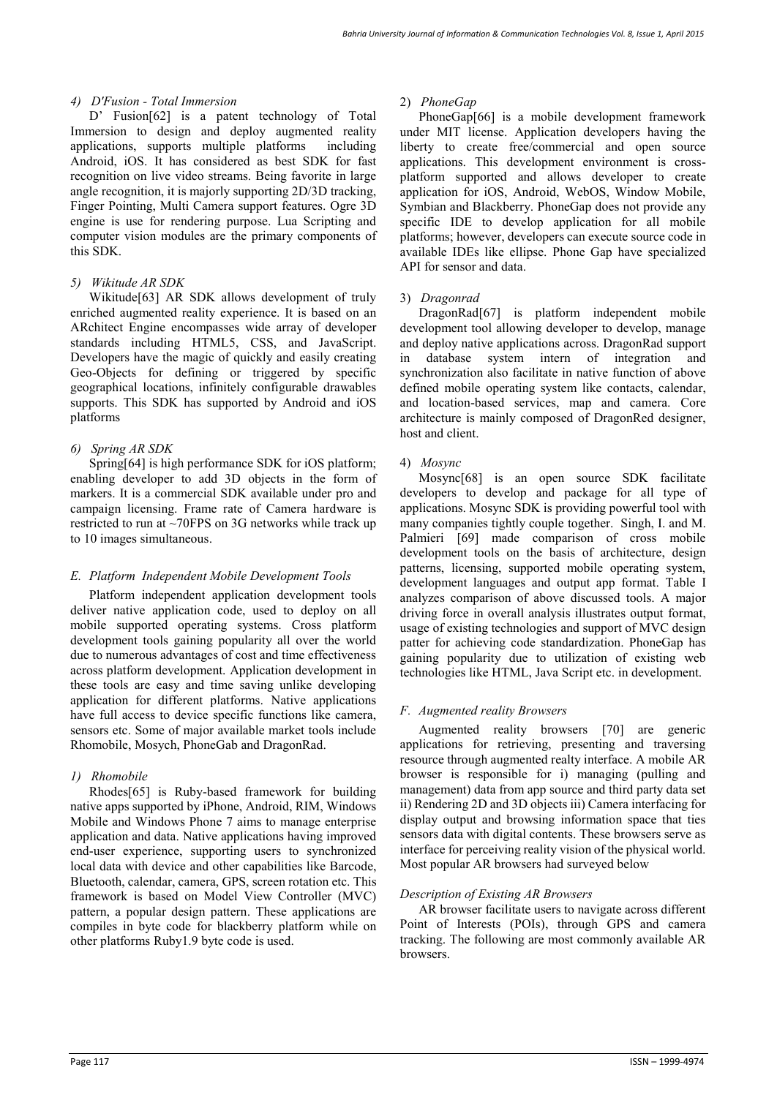## *4) D'Fusion - Total Immersion*

D' Fusion[62] is a patent technology of Total Immersion to design and deploy augmented reality applications, supports multiple platforms including Android, iOS. It has considered as best SDK for fast recognition on live video streams. Being favorite in large angle recognition, it is majorly supporting 2D/3D tracking, Finger Pointing, Multi Camera support features. Ogre 3D engine is use for rendering purpose. Lua Scripting and computer vision modules are the primary components of this SDK.

## *5) Wikitude AR SDK*

Wikitude[63] AR SDK allows development of truly enriched augmented reality experience. It is based on an ARchitect Engine encompasses wide array of developer standards including HTML5, CSS, and JavaScript. Developers have the magic of quickly and easily creating Geo-Objects for defining or triggered by specific geographical locations, infinitely configurable drawables supports. This SDK has supported by Android and iOS platforms

# *6) Spring AR SDK*

Spring[64] is high performance SDK for iOS platform; enabling developer to add 3D objects in the form of markers. It is a commercial SDK available under pro and campaign licensing. Frame rate of Camera hardware is restricted to run at ~70FPS on 3G networks while track up to 10 images simultaneous.

## *E. Platform Independent Mobile Development Tools*

Platform independent application development tools deliver native application code, used to deploy on all mobile supported operating systems. Cross platform development tools gaining popularity all over the world due to numerous advantages of cost and time effectiveness across platform development. Application development in these tools are easy and time saving unlike developing application for different platforms. Native applications have full access to device specific functions like camera, sensors etc. Some of major available market tools include Rhomobile, Mosych, PhoneGab and DragonRad.

# *1) Rhomobile*

Rhodes[65] is Ruby-based framework for building native apps supported by iPhone, Android, RIM, Windows Mobile and Windows Phone 7 aims to manage enterprise application and data. Native applications having improved end-user experience, supporting users to synchronized local data with device and other capabilities like Barcode, Bluetooth, calendar, camera, GPS, screen rotation etc. This framework is based on Model View Controller (MVC) pattern, a popular design pattern. These applications are compiles in byte code for blackberry platform while on other platforms Ruby1.9 byte code is used.

## 2) *PhoneGap*

PhoneGap[66] is a mobile development framework under MIT license. Application developers having the liberty to create free/commercial and open source applications. This development environment is crossplatform supported and allows developer to create application for iOS, Android, WebOS, Window Mobile, Symbian and Blackberry. PhoneGap does not provide any specific IDE to develop application for all mobile platforms; however, developers can execute source code in available IDEs like ellipse. Phone Gap have specialized API for sensor and data.

## 3) *Dragonrad*

DragonRad[67] is platform independent mobile development tool allowing developer to develop, manage and deploy native applications across. DragonRad support in database system intern of integration and synchronization also facilitate in native function of above defined mobile operating system like contacts, calendar, and location-based services, map and camera. Core architecture is mainly composed of DragonRed designer, host and client.

# 4) *Mosync*

Mosync[68] is an open source SDK facilitate developers to develop and package for all type of applications. Mosync SDK is providing powerful tool with many companies tightly couple together. Singh, I. and M. Palmieri [69] made comparison of cross mobile development tools on the basis of architecture, design patterns, licensing, supported mobile operating system, development languages and output app format. Table I analyzes comparison of above discussed tools. A major driving force in overall analysis illustrates output format, usage of existing technologies and support of MVC design patter for achieving code standardization. PhoneGap has gaining popularity due to utilization of existing web technologies like HTML, Java Script etc. in development.

# *F. Augmented reality Browsers*

Augmented reality browsers [70] are generic applications for retrieving, presenting and traversing resource through augmented realty interface. A mobile AR browser is responsible for i) managing (pulling and management) data from app source and third party data set ii) Rendering 2D and 3D objects iii) Camera interfacing for display output and browsing information space that ties sensors data with digital contents. These browsers serve as interface for perceiving reality vision of the physical world. Most popular AR browsers had surveyed below

## *Description of Existing AR Browsers*

AR browser facilitate users to navigate across different Point of Interests (POIs), through GPS and camera tracking. The following are most commonly available AR browsers.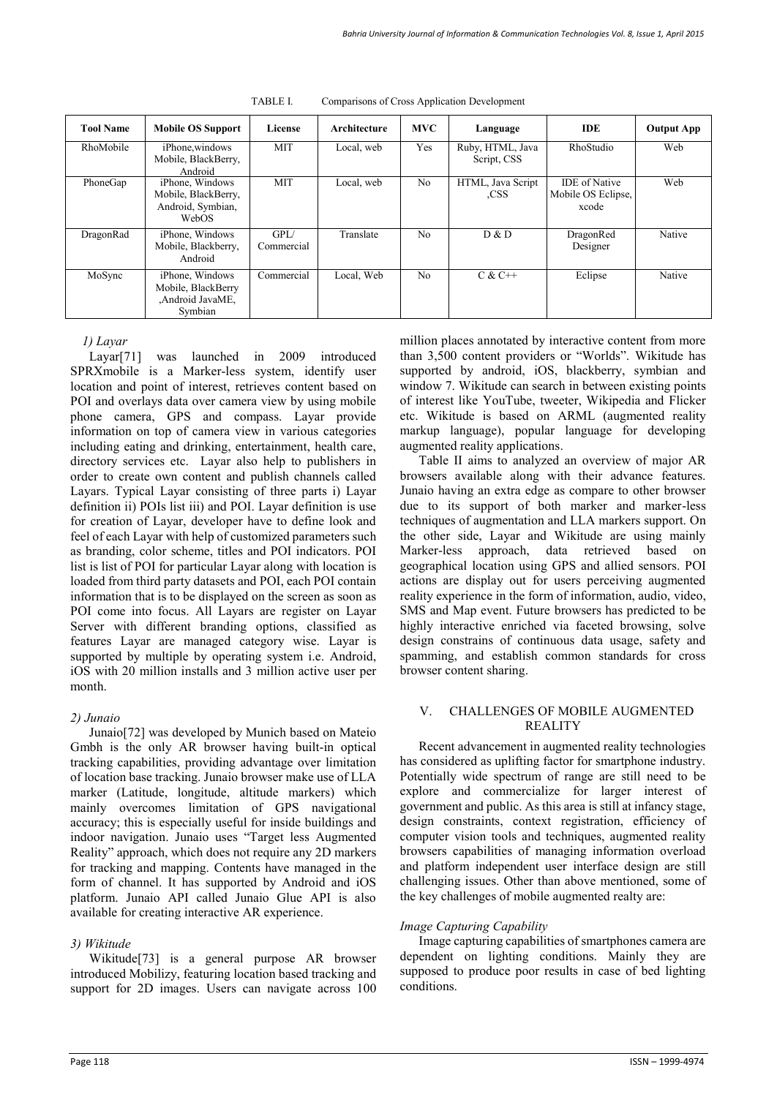| <b>Tool Name</b> | <b>Mobile OS Support</b>                                             | License            | Architecture | <b>MVC</b>     | Language                        | <b>IDE</b>                                          | <b>Output App</b> |
|------------------|----------------------------------------------------------------------|--------------------|--------------|----------------|---------------------------------|-----------------------------------------------------|-------------------|
| RhoMobile        | iPhone, windows<br>Mobile, BlackBerry,<br>Android                    | <b>MIT</b>         | Local, web   | Yes            | Ruby, HTML, Java<br>Script, CSS | RhoStudio                                           | Web               |
| PhoneGap         | iPhone, Windows<br>Mobile, BlackBerry,<br>Android, Symbian,<br>WebOS | <b>MIT</b>         | Local, web   | N <sub>o</sub> | HTML, Java Script<br>.CSS       | <b>IDE</b> of Native<br>Mobile OS Eclipse,<br>xcode | Web               |
| DragonRad        | iPhone, Windows<br>Mobile, Blackberry,<br>Android                    | GPI/<br>Commercial | Translate    | N <sub>0</sub> | D & D                           | DragonRed<br>Designer                               | Native            |
| MoSync           | iPhone, Windows<br>Mobile, BlackBerry<br>,Android JavaME,<br>Symbian | Commercial         | Local, Web   | N <sub>0</sub> | $C & C++$                       | Eclipse                                             | Native            |

TABLE I. Comparisons of Cross Application Development

*1) Layar* 

Layar[71] was launched in 2009 introduced SPRXmobile is a Marker-less system, identify user location and point of interest, retrieves content based on POI and overlays data over camera view by using mobile phone camera, GPS and compass. Layar provide information on top of camera view in various categories including eating and drinking, entertainment, health care, directory services etc. Layar also help to publishers in order to create own content and publish channels called Layars. Typical Layar consisting of three parts i) Layar definition ii) POIs list iii) and POI. Layar definition is use for creation of Layar, developer have to define look and feel of each Layar with help of customized parameters such as branding, color scheme, titles and POI indicators. POI list is list of POI for particular Layar along with location is loaded from third party datasets and POI, each POI contain information that is to be displayed on the screen as soon as POI come into focus. All Layars are register on Layar Server with different branding options, classified as features Layar are managed category wise. Layar is supported by multiple by operating system i.e. Android, iOS with 20 million installs and 3 million active user per month.

# *2) Junaio*

Junaio[72] was developed by Munich based on Mateio Gmbh is the only AR browser having built-in optical tracking capabilities, providing advantage over limitation of location base tracking. Junaio browser make use of LLA marker (Latitude, longitude, altitude markers) which mainly overcomes limitation of GPS navigational accuracy; this is especially useful for inside buildings and indoor navigation. Junaio uses "Target less Augmented Reality" approach, which does not require any 2D markers for tracking and mapping. Contents have managed in the form of channel. It has supported by Android and iOS platform. Junaio API called Junaio Glue API is also available for creating interactive AR experience.

# *3) Wikitude*

Wikitude[73] is a general purpose AR browser introduced Mobilizy, featuring location based tracking and support for 2D images. Users can navigate across 100

million places annotated by interactive content from more than 3,500 content providers or "Worlds". Wikitude has supported by android, iOS, blackberry, symbian and window 7. Wikitude can search in between existing points of interest like YouTube, tweeter, Wikipedia and Flicker etc. Wikitude is based on ARML (augmented reality markup language), popular language for developing augmented reality applications.

Table II aims to analyzed an overview of major AR browsers available along with their advance features. Junaio having an extra edge as compare to other browser due to its support of both marker and marker-less techniques of augmentation and LLA markers support. On the other side, Layar and Wikitude are using mainly Marker-less approach, data retrieved based on geographical location using GPS and allied sensors. POI actions are display out for users perceiving augmented reality experience in the form of information, audio, video, SMS and Map event. Future browsers has predicted to be highly interactive enriched via faceted browsing, solve design constrains of continuous data usage, safety and spamming, and establish common standards for cross browser content sharing.

# V. CHALLENGES OF MOBILE AUGMENTED REALITY

Recent advancement in augmented reality technologies has considered as uplifting factor for smartphone industry. Potentially wide spectrum of range are still need to be explore and commercialize for larger interest of government and public. As this area is still at infancy stage, design constraints, context registration, efficiency of computer vision tools and techniques, augmented reality browsers capabilities of managing information overload and platform independent user interface design are still challenging issues. Other than above mentioned, some of the key challenges of mobile augmented realty are:

# *Image Capturing Capability*

Image capturing capabilities of smartphones camera are dependent on lighting conditions. Mainly they are supposed to produce poor results in case of bed lighting conditions.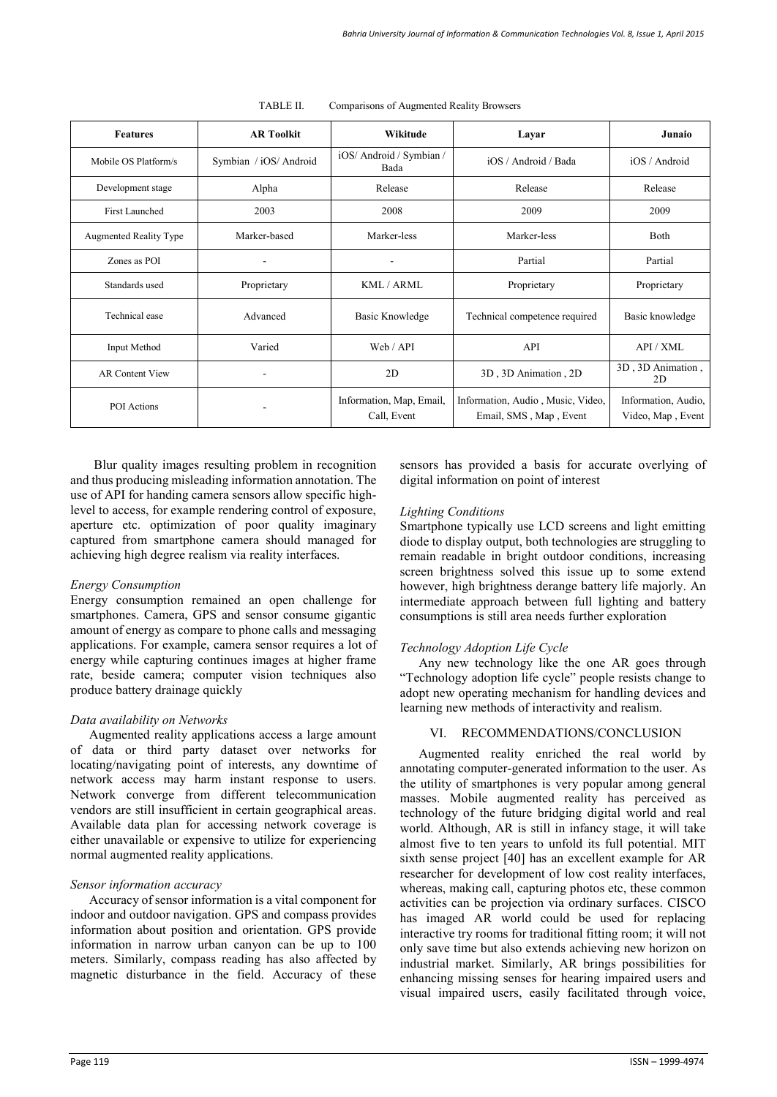| <b>AR Toolkit</b><br><b>Features</b> |                        | Wikitude                                | Layar                                                       | Junaio                                   |
|--------------------------------------|------------------------|-----------------------------------------|-------------------------------------------------------------|------------------------------------------|
| Mobile OS Platform/s                 | Symbian / iOS/ Android | iOS/ Android / Symbian /<br>Bada        | iOS / Android / Bada                                        | iOS / Android                            |
| Development stage                    | Alpha                  | Release                                 | Release                                                     | Release                                  |
| First Launched                       | 2003                   | 2008                                    | 2009                                                        | 2009                                     |
| <b>Augmented Reality Type</b>        | Marker-based           | Marker-less                             | Marker-less                                                 | Both                                     |
| Zones as POI                         |                        |                                         | Partial                                                     | Partial                                  |
| Standards used                       | Proprietary            | KML/ARML                                | Proprietary                                                 | Proprietary                              |
| Technical ease                       | Advanced               | Basic Knowledge                         | Technical competence required                               | Basic knowledge                          |
| Input Method                         | Varied                 | Web / API                               | API                                                         | API / XML                                |
| <b>AR Content View</b>               |                        | 2D                                      | 3D, 3D Animation, 2D                                        | 3D, 3D Animation,<br>2D                  |
| <b>POI</b> Actions                   |                        | Information, Map, Email,<br>Call, Event | Information, Audio, Music, Video,<br>Email, SMS, Map, Event | Information, Audio,<br>Video, Map, Event |

TABLE II. Comparisons of Augmented Reality Browsers

Blur quality images resulting problem in recognition and thus producing misleading information annotation. The use of API for handing camera sensors allow specific highlevel to access, for example rendering control of exposure, aperture etc. optimization of poor quality imaginary captured from smartphone camera should managed for achieving high degree realism via reality interfaces.

# *Energy Consumption*

Energy consumption remained an open challenge for smartphones. Camera, GPS and sensor consume gigantic amount of energy as compare to phone calls and messaging applications. For example, camera sensor requires a lot of energy while capturing continues images at higher frame rate, beside camera; computer vision techniques also produce battery drainage quickly

# *Data availability on Networks*

Augmented reality applications access a large amount of data or third party dataset over networks for locating/navigating point of interests, any downtime of network access may harm instant response to users. Network converge from different telecommunication vendors are still insufficient in certain geographical areas. Available data plan for accessing network coverage is either unavailable or expensive to utilize for experiencing normal augmented reality applications.

# *Sensor information accuracy*

Accuracy of sensor information is a vital component for indoor and outdoor navigation. GPS and compass provides information about position and orientation. GPS provide information in narrow urban canyon can be up to 100 meters. Similarly, compass reading has also affected by magnetic disturbance in the field. Accuracy of these sensors has provided a basis for accurate overlying of digital information on point of interest

# *Lighting Conditions*

Smartphone typically use LCD screens and light emitting diode to display output, both technologies are struggling to remain readable in bright outdoor conditions, increasing screen brightness solved this issue up to some extend however, high brightness derange battery life majorly. An intermediate approach between full lighting and battery consumptions is still area needs further exploration

# *Technology Adoption Life Cycle*

Any new technology like the one AR goes through "Technology adoption life cycle" people resists change to adopt new operating mechanism for handling devices and learning new methods of interactivity and realism.

# VI. RECOMMENDATIONS/CONCLUSION

Augmented reality enriched the real world by annotating computer-generated information to the user. As the utility of smartphones is very popular among general masses. Mobile augmented reality has perceived as technology of the future bridging digital world and real world. Although, AR is still in infancy stage, it will take almost five to ten years to unfold its full potential. MIT sixth sense project [40] has an excellent example for AR researcher for development of low cost reality interfaces, whereas, making call, capturing photos etc, these common activities can be projection via ordinary surfaces. CISCO has imaged AR world could be used for replacing interactive try rooms for traditional fitting room; it will not only save time but also extends achieving new horizon on industrial market. Similarly, AR brings possibilities for enhancing missing senses for hearing impaired users and visual impaired users, easily facilitated through voice,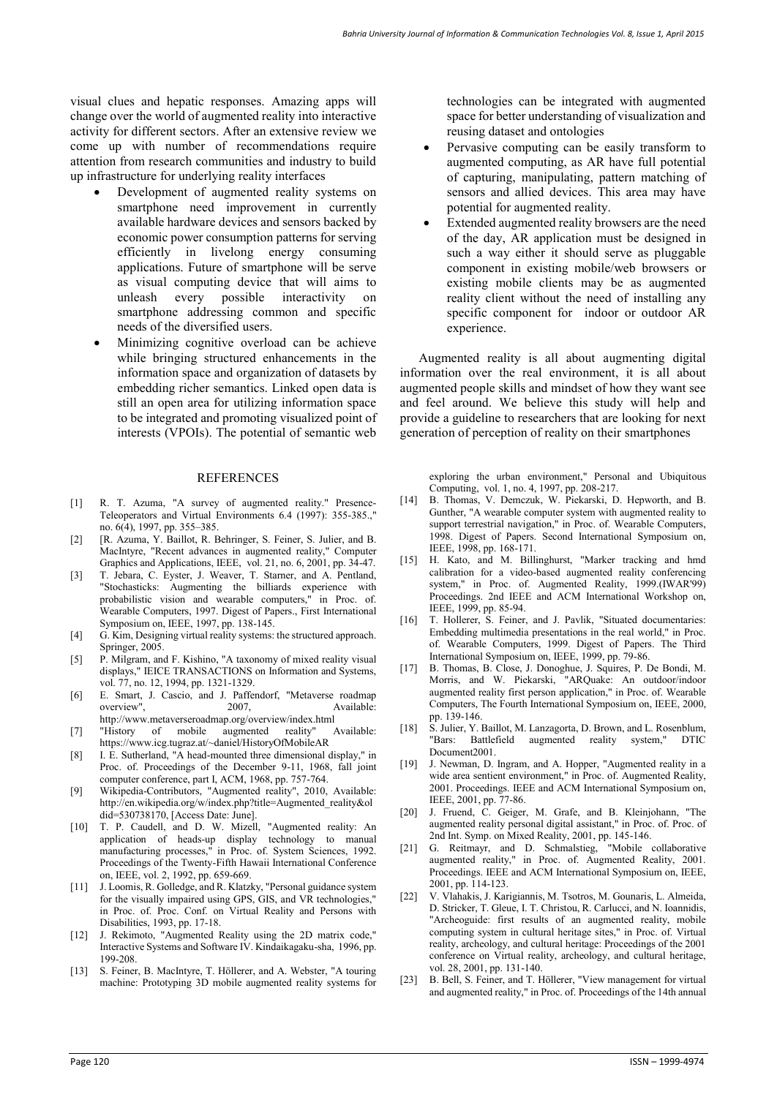visual clues and hepatic responses. Amazing apps will change over the world of augmented reality into interactive activity for different sectors. After an extensive review we come up with number of recommendations require attention from research communities and industry to build up infrastructure for underlying reality interfaces

- Development of augmented reality systems on smartphone need improvement in currently available hardware devices and sensors backed by economic power consumption patterns for serving efficiently in livelong energy consuming applications. Future of smartphone will be serve as visual computing device that will aims to unleash every possible interactivity on smartphone addressing common and specific needs of the diversified users.
- Minimizing cognitive overload can be achieve while bringing structured enhancements in the information space and organization of datasets by embedding richer semantics. Linked open data is still an open area for utilizing information space to be integrated and promoting visualized point of interests (VPOIs). The potential of semantic web

#### REFERENCES

- [1] R. T. Azuma, "A survey of augmented reality." Presence-Teleoperators and Virtual Environments 6.4 (1997): 355-385.," no. 6(4), 1997, pp. 355–385.
- [2] [R. Azuma, Y. Baillot, R. Behringer, S. Feiner, S. Julier, and B. MacIntyre, "Recent advances in augmented reality," Computer Graphics and Applications, IEEE, vol. 21, no. 6, 2001, pp. 34-47.
- [3] T. Jebara, C. Eyster, J. Weaver, T. Starner, and A. Pentland, "Stochasticks: Augmenting the billiards experience with probabilistic vision and wearable computers," in Proc. of. Wearable Computers, 1997. Digest of Papers., First International Symposium on, IEEE, 1997, pp. 138-145.
- [4] G. Kim, Designing virtual reality systems: the structured approach. Springer, 2005.
- [5] P. Milgram, and F. Kishino, "A taxonomy of mixed reality visual displays," IEICE TRANSACTIONS on Information and Systems, vol. 77, no. 12, 1994, pp. 1321-1329.
- [6] E. Smart, J. Cascio, and J. Paffendorf, "Metaverse roadmap overview". 2007. Available: Available:
- <http://www.metaverseroadmap.org/overview/index.html><br>"History of mobile augmented reality" Available:  $[7]$  "History of mobile" https:[//www.icg.tugraz.at/~daniel/HistoryOfMobileAR](http://www.icg.tugraz.at/~daniel/HistoryOfMobileAR)
- [8] I. E. Sutherland, "A head-mounted three dimensional display," in Proc. of. Proceedings of the December 9-11, 1968, fall joint computer conference, part I, ACM, 1968, pp. 757-764.
- [9] Wikipedia-Contributors, "Augmented reality", 2010, Available: [http://en.wikipedia.org/w/index.php?title=Augmented\\_reality&ol](http://en.wikipedia.org/w/index.php?title=Augmented_reality&oldid=530738170) [did=530738170,](http://en.wikipedia.org/w/index.php?title=Augmented_reality&oldid=530738170) [Access Date: June].
- [10] T. P. Caudell, and D. W. Mizell, "Augmented reality: An application of heads-up display technology to manual manufacturing processes," in Proc. of. System Sciences, 1992. Proceedings of the Twenty-Fifth Hawaii International Conference on, IEEE, vol. 2, 1992, pp. 659-669.
- [11] J. Loomis, R. Golledge, and R. Klatzky, "Personal guidance system for the visually impaired using GPS, GIS, and VR technologies, in Proc. of. Proc. Conf. on Virtual Reality and Persons with Disabilities, 1993, pp. 17-18.
- [12] J. Rekimoto, "Augmented Reality using the 2D matrix code," Interactive Systems and Software IV. Kindaikagaku-sha, 1996, pp. 199-208.
- [13] S. Feiner, B. MacIntyre, T. Höllerer, and A. Webster, "A touring machine: Prototyping 3D mobile augmented reality systems for

technologies can be integrated with augmented space for better understanding of visualization and reusing dataset and ontologies

- Pervasive computing can be easily transform to augmented computing, as AR have full potential of capturing, manipulating, pattern matching of sensors and allied devices. This area may have potential for augmented reality.
- Extended augmented reality browsers are the need of the day, AR application must be designed in such a way either it should serve as pluggable component in existing mobile/web browsers or existing mobile clients may be as augmented reality client without the need of installing any specific component for indoor or outdoor AR experience.

Augmented reality is all about augmenting digital information over the real environment, it is all about augmented people skills and mindset of how they want see and feel around. We believe this study will help and provide a guideline to researchers that are looking for next generation of perception of reality on their smartphones

exploring the urban environment," Personal and Ubiquitous Computing, vol. 1, no. 4, 1997, pp. 208-217.

- [14] B. Thomas, V. Demczuk, W. Piekarski, D. Hepworth, and B. Gunther, "A wearable computer system with augmented reality to support terrestrial navigation," in Proc. of. Wearable Computers, 1998. Digest of Papers. Second International Symposium on, IEEE, 1998, pp. 168-171.
- [15] H. Kato, and M. Billinghurst, "Marker tracking and hmd calibration for a video-based augmented reality conferencing system," in Proc. of. Augmented Reality, 1999.(IWAR'99) Proceedings. 2nd IEEE and ACM International Workshop on, IEEE, 1999, pp. 85-94.
- [16] T. Hollerer, S. Feiner, and J. Pavlik, "Situated documentaries: Embedding multimedia presentations in the real world," in Proc. of. Wearable Computers, 1999. Digest of Papers. The Third International Symposium on, IEEE, 1999, pp. 79-86.
- [17] B. Thomas, B. Close, J. Donoghue, J. Squires, P. De Bondi, M. Morris, and W. Piekarski, "ARQuake: An outdoor/indoor augmented reality first person application," in Proc. of. Wearable Computers, The Fourth International Symposium on, IEEE, 2000, pp. 139-146.
- [18] S. Julier, Y. Baillot, M. Lanzagorta, D. Brown, and L. Rosenblum, "Bars: Battlefield augmented reality system," DTIC Document2001.
- [19] J. Newman, D. Ingram, and A. Hopper, "Augmented reality in a wide area sentient environment," in Proc. of. Augmented Reality, 2001. Proceedings. IEEE and ACM International Symposium on, IEEE, 2001, pp. 77-86.
- [20] J. Fruend, C. Geiger, M. Grafe, and B. Kleinjohann, "The augmented reality personal digital assistant," in Proc. of. Proc. of 2nd Int. Symp. on Mixed Reality, 2001, pp. 145-146.
- [21] G. Reitmayr, and D. Schmalstieg, "Mobile collaborative augmented reality," in Proc. of. Augmented Reality, 2001. Proceedings. IEEE and ACM International Symposium on, IEEE, 2001, pp. 114-123.
- [22] V. Vlahakis, J. Karigiannis, M. Tsotros, M. Gounaris, L. Almeida, D. Stricker, T. Gleue, I. T. Christou, R. Carlucci, and N. Ioannidis, "Archeoguide: first results of an augmented reality, mobile computing system in cultural heritage sites," in Proc. of. Virtual reality, archeology, and cultural heritage: Proceedings of the 2001 conference on Virtual reality, archeology, and cultural heritage, vol. 28, 2001, pp. 131-140.
- [23] B. Bell, S. Feiner, and T. Höllerer, "View management for virtual and augmented reality," in Proc. of. Proceedings of the 14th annual